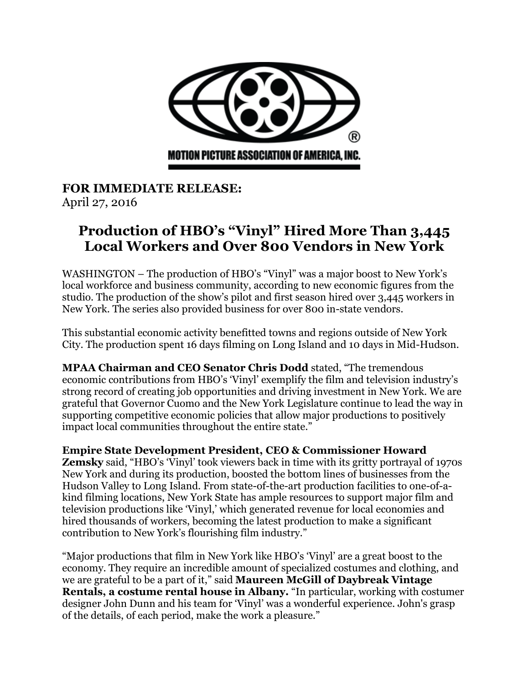

**FOR IMMEDIATE RELEASE:** April 27, 2016

# **Production of HBO's "Vinyl" Hired More Than 3,445 Local Workers and Over 800 Vendors in New York**

WASHINGTON – The production of HBO's "Vinyl" was a major boost to New York's local workforce and business community, according to new economic figures from the studio. The production of the show's pilot and first season hired over 3,445 workers in New York. The series also provided business for over 800 in-state vendors.

This substantial economic activity benefitted towns and regions outside of New York City. The production spent 16 days filming on Long Island and 10 days in Mid-Hudson.

**MPAA Chairman and CEO Senator Chris Dodd** stated, "The tremendous economic contributions from HBO's 'Vinyl' exemplify the film and television industry's strong record of creating job opportunities and driving investment in New York. We are grateful that Governor Cuomo and the New York Legislature continue to lead the way in supporting competitive economic policies that allow major productions to positively impact local communities throughout the entire state."

**Empire State Development President, CEO & Commissioner Howard Zemsky** said, "HBO's 'Vinyl' took viewers back in time with its gritty portrayal of 1970s New York and during its production, boosted the bottom lines of businesses from the Hudson Valley to Long Island. From state-of-the-art production facilities to one-of-akind filming locations, New York State has ample resources to support major film and television productions like 'Vinyl,' which generated revenue for local economies and hired thousands of workers, becoming the latest production to make a significant contribution to New York's flourishing film industry."

"Major productions that film in New York like HBO's 'Vinyl' are a great boost to the economy. They require an incredible amount of specialized costumes and clothing, and we are grateful to be a part of it," said **Maureen McGill of Daybreak Vintage Rentals, a costume rental house in Albany.** "In particular, working with costumer designer John Dunn and his team for 'Vinyl' was a wonderful experience. John's grasp of the details, of each period, make the work a pleasure."